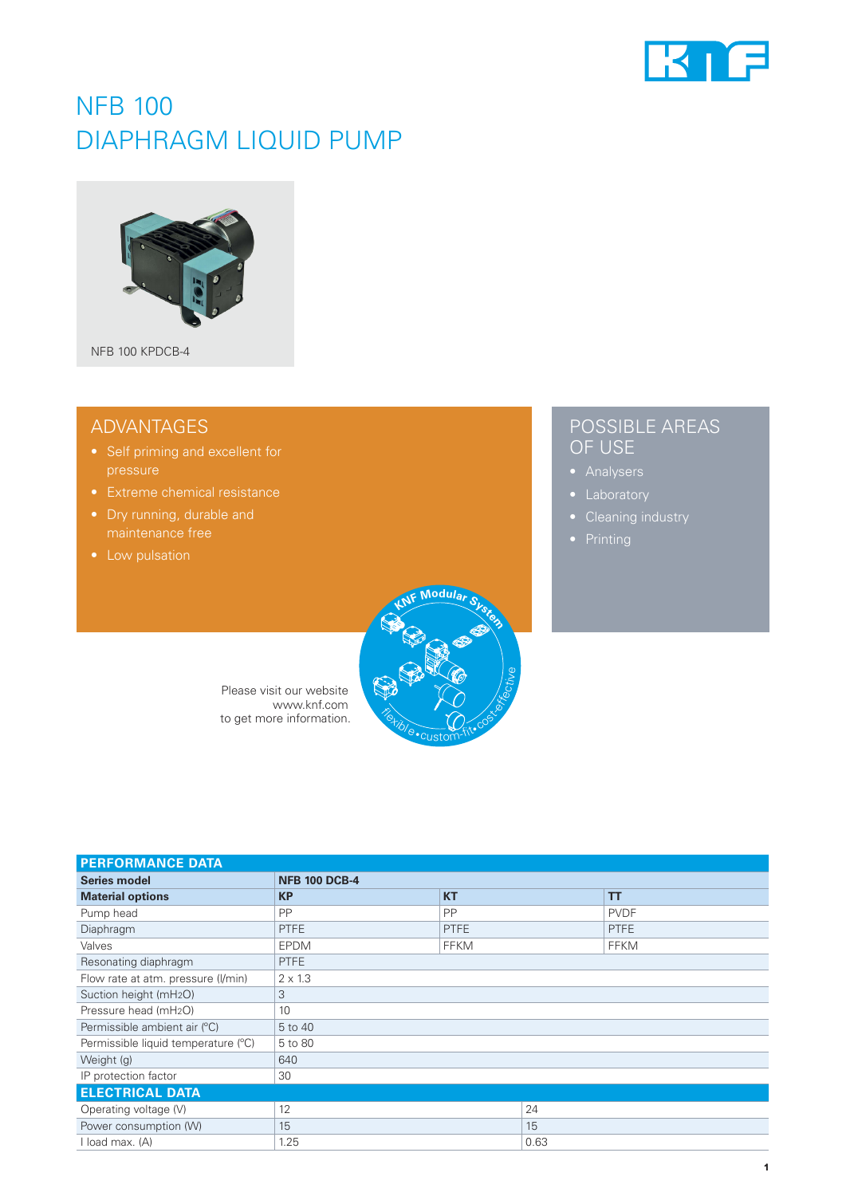

## NFB 100 DIAPHRAGM LIQUID PUMP



### ADVANTAGES

- 
- 
- Dry running, durable and
- 



| Please visit our website |  |
|--------------------------|--|
| www.knf.com              |  |
| to get more information. |  |
|                          |  |

| <b>PERFORMANCE DATA</b>             |                      |             |             |
|-------------------------------------|----------------------|-------------|-------------|
| Series model                        | <b>NFB 100 DCB-4</b> |             |             |
| <b>Material options</b>             | <b>KP</b>            | <b>KT</b>   | TT          |
| Pump head                           | <b>PP</b>            | <b>PP</b>   | <b>PVDF</b> |
| Diaphragm                           | <b>PTFE</b>          | <b>PTFE</b> | <b>PTFE</b> |
| Valves                              | <b>EPDM</b>          | <b>FFKM</b> | <b>FFKM</b> |
| Resonating diaphragm                | <b>PTFE</b>          |             |             |
| Flow rate at atm. pressure (I/min)  | $2 \times 1.3$       |             |             |
| Suction height (mH <sub>2</sub> O)  | 3                    |             |             |
| Pressure head (mH <sub>2</sub> O)   | 10                   |             |             |
| Permissible ambient air (°C)        | 5 to 40              |             |             |
| Permissible liquid temperature (°C) | 5 to 80              |             |             |
| Weight (g)                          | 640                  |             |             |
| IP protection factor                | 30                   |             |             |
| <b>ELECTRICAL DATA</b>              |                      |             |             |
| Operating voltage (V)               | 12                   | 24          |             |
| Power consumption (W)               | 15                   | 15          |             |
| I load max. (A)                     | 1.25                 | 0.63        |             |

## POSSIBLE AREAS OF USE

- 
- 
- 
-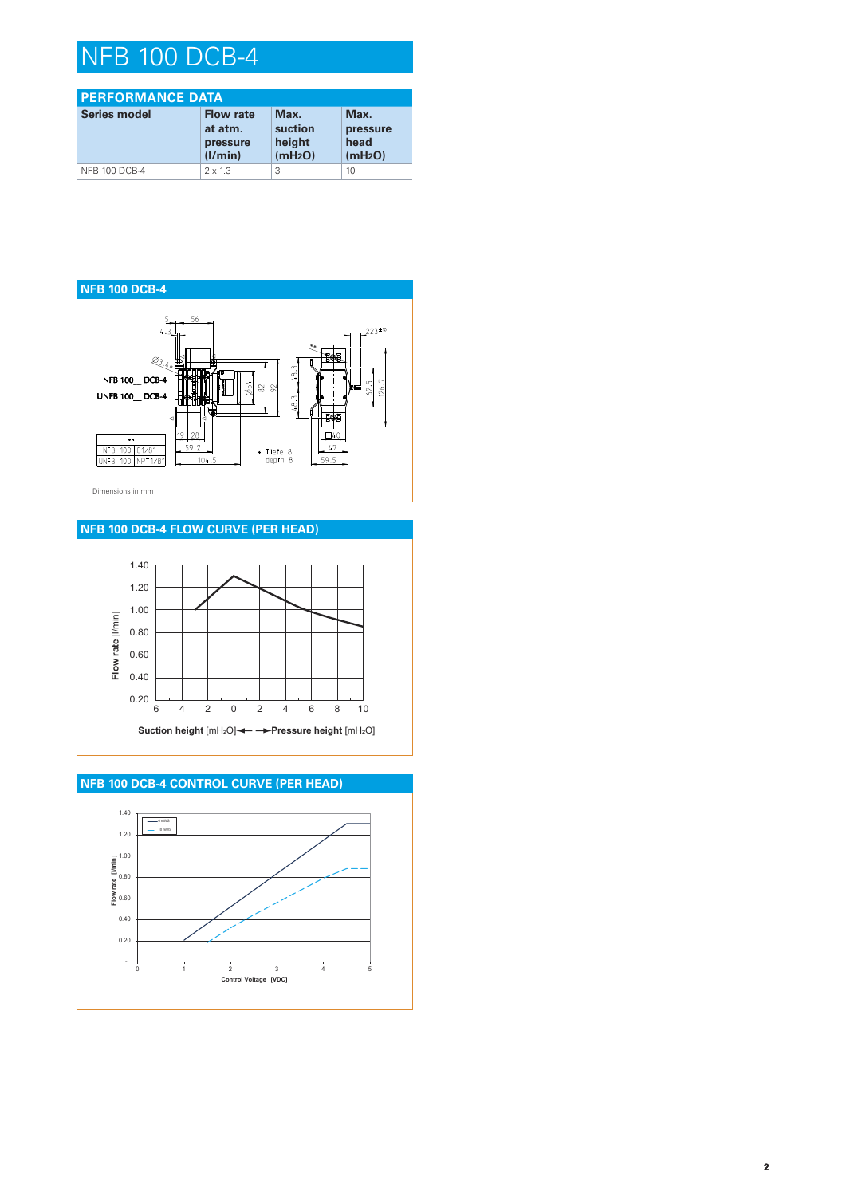# NFB 100 DCB-4

| <b>PERFORMANCE DATA</b> |                                                    |                                                  |                                                 |
|-------------------------|----------------------------------------------------|--------------------------------------------------|-------------------------------------------------|
| Series model            | <b>Flow rate</b><br>at atm.<br>pressure<br>(I/min) | Max.<br>suction<br>height<br>(mH <sub>2</sub> O) | Max.<br>pressure<br>head<br>(mH <sub>2</sub> O) |
| NFB 100 DCB-4           | $2 \times 1.3$                                     | 3                                                | 10                                              |



#### **NFB 100 DCB-4 FLOW CURVE (PER HEAD)**



**NFB 100 DCB-4 CONTROL CURVE (PER HEAD)**